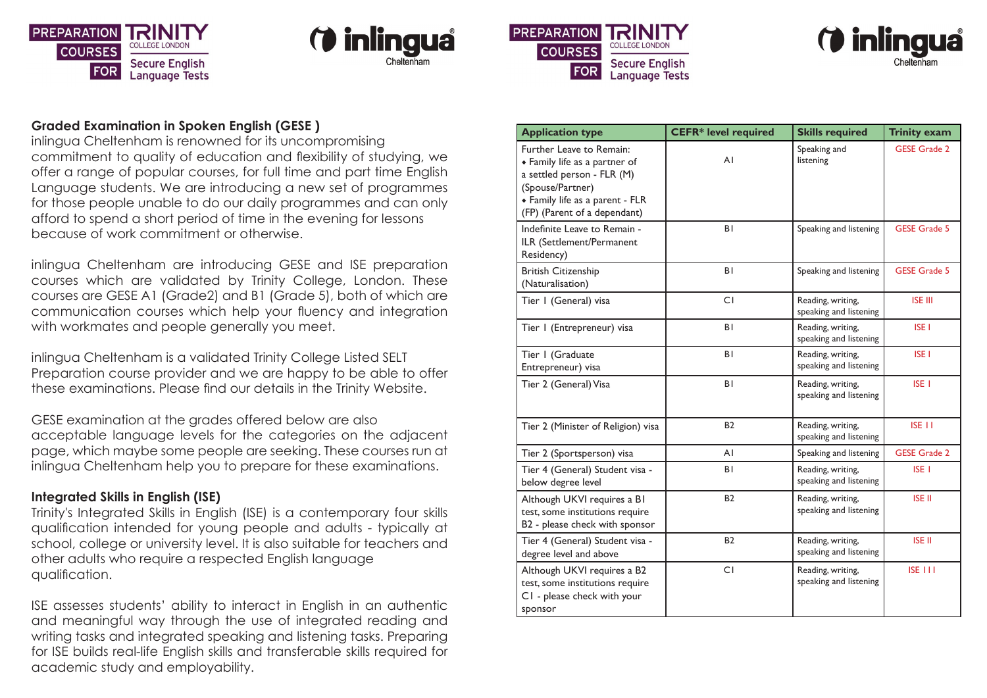







#### **Graded Examination in Spoken English (GESE )**

inlingua Cheltenham is renowned for its uncompromising commitment to quality of education and flexibility of studying, we offer a range of popular courses, for full time and part time English Language students. We are introducing a new set of programmes for those people unable to do our daily programmes and can only afford to spend a short period of time in the evening for lessons because of work commitment or otherwise.

inlingua Cheltenham are introducing GESE and ISE preparation courses which are validated by Trinity College, London. These courses are GESE A1 (Grade2) and B1 (Grade 5), both of which are communication courses which help your fluency and integration with workmates and people generally you meet.

inlingua Cheltenham is a validated Trinity College Listed SELT Preparation course provider and we are happy to be able to offer these examinations. Please find our details in the Trinity Website.

GESE examination at the grades offered below are also acceptable language levels for the categories on the adjacent page, which maybe some people are seeking. These courses run at inlingua Cheltenham help you to prepare for these examinations.

### **Integrated Skills in English (ISE)**

Trinity's Integrated Skills in English (ISE) is a contemporary four skills qualification intended for young people and adults - typically at school, college or university level. It is also suitable for teachers and other adults who require a respected English language qualification.

ISE assesses students' ability to interact in English in an authentic and meaningful way through the use of integrated reading and writing tasks and integrated speaking and listening tasks. Preparing for ISE builds real-life English skills and transferable skills required for academic study and employability.

| <b>Application type</b>                                                                                                                                                        | <b>CEFR*</b> level required | <b>Skills required</b>                      | <b>Trinity exam</b> |
|--------------------------------------------------------------------------------------------------------------------------------------------------------------------------------|-----------------------------|---------------------------------------------|---------------------|
| Further Leave to Remain:<br>• Family life as a partner of<br>a settled person - FLR (M)<br>(Spouse/Partner)<br>• Family life as a parent - FLR<br>(FP) (Parent of a dependant) | AI                          | Speaking and<br>listening                   | <b>GESE Grade 2</b> |
| Indefinite Leave to Remain -<br>ILR (Settlement/Permanent<br>Residency)                                                                                                        | BI                          | Speaking and listening                      | <b>GESE Grade 5</b> |
| <b>British Citizenship</b><br>(Naturalisation)                                                                                                                                 | <b>BI</b>                   | Speaking and listening                      | <b>GESE Grade 5</b> |
| Tier I (General) visa                                                                                                                                                          | C <sub>I</sub>              | Reading, writing,<br>speaking and listening | <b>ISE III</b>      |
| Tier I (Entrepreneur) visa                                                                                                                                                     | ΒI                          | Reading, writing,<br>speaking and listening | <b>ISE I</b>        |
| Tier I (Graduate<br>Entrepreneur) visa                                                                                                                                         | BI                          | Reading, writing,<br>speaking and listening | <b>ISE I</b>        |
| Tier 2 (General) Visa                                                                                                                                                          | ΒI                          | Reading, writing,<br>speaking and listening | ISE <sub>I</sub>    |
| Tier 2 (Minister of Religion) visa                                                                                                                                             | <b>B2</b>                   | Reading, writing,<br>speaking and listening | ISE <sub>II</sub>   |
| Tier 2 (Sportsperson) visa                                                                                                                                                     | A١                          | Speaking and listening                      | <b>GESE Grade 2</b> |
| Tier 4 (General) Student visa -<br>below degree level                                                                                                                          | ΒI                          | Reading, writing,<br>speaking and listening | ISE <sub>I</sub>    |
| Although UKVI requires a BI<br>test, some institutions require<br>B2 - please check with sponsor                                                                               | <b>B2</b>                   | Reading, writing,<br>speaking and listening | ISE II              |
| Tier 4 (General) Student visa -<br>degree level and above                                                                                                                      | <b>B2</b>                   | Reading, writing,<br>speaking and listening | <b>ISE II</b>       |
| Although UKVI requires a B2<br>test, some institutions require<br>CI - please check with your<br>sponsor                                                                       | CI                          | Reading, writing,<br>speaking and listening | ISE 111             |